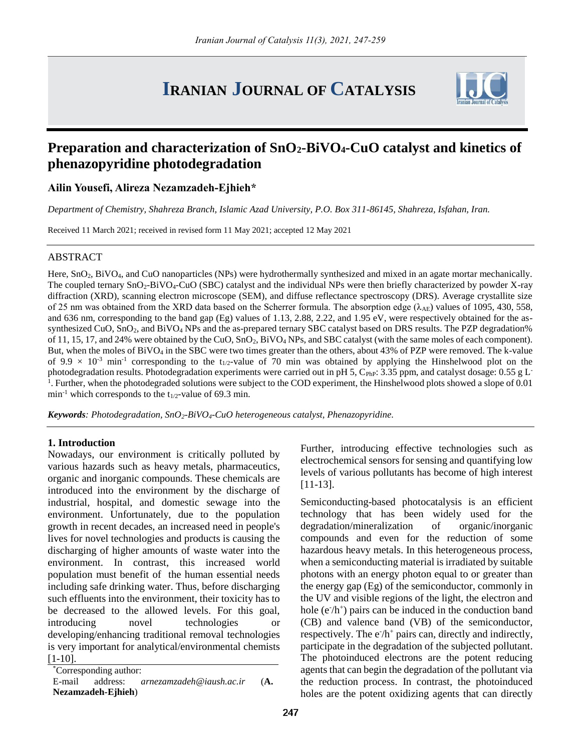# **IRANIAN JOURNAL OF CATALYSIS**



# **Preparation and characterization of SnO2-BiVO4-CuO catalyst and kinetics of phenazopyridine photodegradation**

# **Ailin Yousefi, Alireza Nezamzadeh-Ejhieh\***

*Department of Chemistry, Shahreza Branch, Islamic Azad University, P.O. Box 311-86145, Shahreza, Isfahan, Iran.*

Received 11 March 2021; received in revised form 11 May 2021; accepted 12 May 2021

#### ABSTRACT

Here, SnO<sub>2</sub>, BiVO<sub>4</sub>, and CuO nanoparticles (NPs) were hydrothermally synthesized and mixed in an agate mortar mechanically. The coupled ternary SnO2-BiVO4-CuO (SBC) catalyst and the individual NPs were then briefly characterized by powder X-ray diffraction (XRD), scanning electron microscope (SEM), and diffuse reflectance spectroscopy (DRS). Average crystallite size of 25 nm was obtained from the XRD data based on the Scherrer formula. The absorption edge ( $\lambda_{AE}$ ) values of 1095, 430, 558, and 636 nm, corresponding to the band gap (Eg) values of 1.13, 2.88, 2.22, and 1.95 eV, were respectively obtained for the assynthesized CuO, SnO<sub>2</sub>, and BiVO<sub>4</sub> NPs and the as-prepared ternary SBC catalyst based on DRS results. The PZP degradation% of 11, 15, 17, and 24% were obtained by the CuO, SnO2, BiVO<sup>4</sup> NPs, and SBC catalyst (with the same moles of each component). But, when the moles of BiVO<sup>4</sup> in the SBC were two times greater than the others, about 43% of PZP were removed. The k-value of 9.9  $\times$  10<sup>-3</sup> min<sup>-1</sup> corresponding to the t<sub>1/2</sub>-value of 70 min was obtained by applying the Hinshelwood plot on the photodegradation results. Photodegradation experiments were carried out in pH 5, C<sub>PhP</sub>: 3.35 ppm, and catalyst dosage: 0.55 g L<sup>-</sup> 1 . Further, when the photodegraded solutions were subject to the COD experiment, the Hinshelwood plots showed a slope of 0.01 min<sup>-1</sup> which corresponds to the  $t_{1/2}$ -value of 69.3 min.

*Keywords: Photodegradation, SnO2-BiVO4-CuO heterogeneous catalyst, Phenazopyridine.*

#### **1. Introduction**

Nowadays, our environment is critically polluted by various hazards such as heavy metals, pharmaceutics, organic and inorganic compounds. These chemicals are introduced into the environment by the discharge of industrial, hospital, and domestic sewage into the environment. Unfortunately, due to the population growth in recent decades, an increased need in people's lives for novel technologies and products is causing the discharging of higher amounts of waste water into the environment. In contrast, this increased world population must benefit of the human essential needs including safe drinking water. Thus, before discharging such effluents into the environment, their toxicity has to be decreased to the allowed levels. For this goal, introducing novel technologies or developing/enhancing traditional removal technologies is very important for analytical/environmental chemists [1-10].

Further, introducing effective technologies such as electrochemical sensors for sensing and quantifying low levels of various pollutants has become of high interest [11-13].

Semiconducting-based photocatalysis is an efficient technology that has been widely used for the degradation/mineralization of organic/inorganic compounds and even for the reduction of some hazardous heavy metals. In this heterogeneous process, when a semiconducting material is irradiated by suitable photons with an energy photon equal to or greater than the energy gap (Eg) of the semiconductor, commonly in the UV and visible regions of the light, the electron and hole  $(e/h^+)$  pairs can be induced in the conduction band (CB) and valence band (VB) of the semiconductor, respectively. The  $e^{\gamma}h^+$  pairs can, directly and indirectly, participate in the degradation of the subjected pollutant. The photoinduced electrons are the potent reducing agents that can begin the degradation of the pollutant via the reduction process. In contrast, the photoinduced holes are the potent oxidizing agents that can directly

<sup>\*</sup>Corresponding author:

E-mail address: *arnezamzadeh@iaush.ac.ir* (**A. Nezamzadeh-Ejhieh**)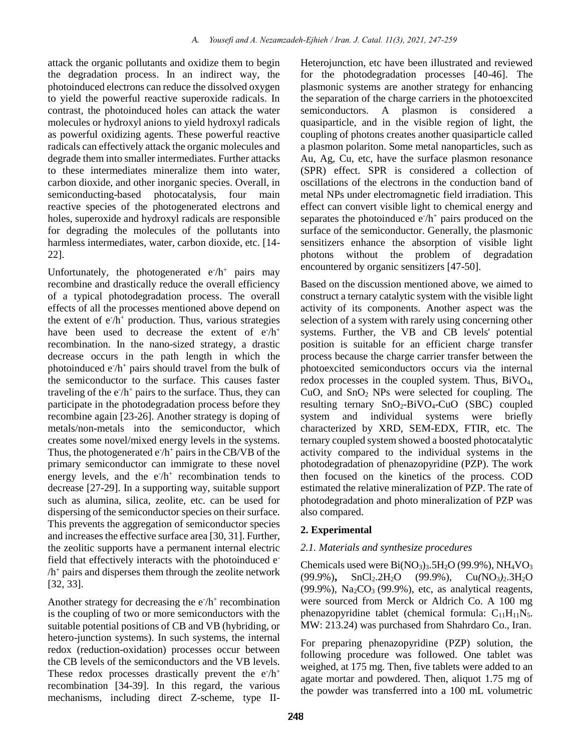attack the organic pollutants and oxidize them to begin the degradation process. In an indirect way, the photoinduced electrons can reduce the dissolved oxygen to yield the powerful reactive superoxide radicals. In contrast, the photoinduced holes can attack the water molecules or hydroxyl anions to yield hydroxyl radicals as powerful oxidizing agents. These powerful reactive radicals can effectively attack the organic molecules and degrade them into smaller intermediates. Further attacks to these intermediates mineralize them into water, carbon dioxide, and other inorganic species. Overall, in semiconducting-based photocatalysis, four main reactive species of the photogenerated electrons and holes, superoxide and hydroxyl radicals are responsible for degrading the molecules of the pollutants into harmless intermediates, water, carbon dioxide, etc. [14-22].

Unfortunately, the photogenerated  $e^{-}/h^{+}$  pairs may recombine and drastically reduce the overall efficiency of a typical photodegradation process. The overall effects of all the processes mentioned above depend on the extent of  $e^{\gamma}/h^+$  production. Thus, various strategies have been used to decrease the extent of  $e^{-}/h^{+}$ recombination. In the nano-sized strategy, a drastic decrease occurs in the path length in which the photoinduced  $e^{-}/h^{+}$  pairs should travel from the bulk of the semiconductor to the surface. This causes faster traveling of the  $e^{\gamma}/h^+$  pairs to the surface. Thus, they can participate in the photodegradation process before they recombine again [23-26]. Another strategy is doping of metals/non-metals into the semiconductor, which creates some novel/mixed energy levels in the systems. Thus, the photogenerated  $e^{-}/h^{+}$  pairs in the CB/VB of the primary semiconductor can immigrate to these novel energy levels, and the  $e^{-}/h^{+}$  recombination tends to decrease [27-29]. In a supporting way, suitable support such as alumina, silica, zeolite, etc. can be used for dispersing of the semiconductor species on their surface. This prevents the aggregation of semiconductor species and increases the effective surface area [30, 31]. Further, the zeolitic supports have a permanent internal electric field that effectively interacts with the photoinduced e- $/h^+$  pairs and disperses them through the zeolite network [32, 33].

Another strategy for decreasing the  $e^{-}/h^{+}$  recombination is the coupling of two or more semiconductors with the suitable potential positions of CB and VB (hybriding, or hetero-junction systems). In such systems, the internal redox (reduction-oxidation) processes occur between the CB levels of the semiconductors and the VB levels. These redox processes drastically prevent the  $e^{\frac{-}{h^+}}$ recombination [34-39]. In this regard, the various mechanisms, including direct Z-scheme, type II-

Heterojunction, etc have been illustrated and reviewed for the photodegradation processes [40-46]. The plasmonic systems are another strategy for enhancing the separation of the charge carriers in the photoexcited semiconductors. A plasmon is considered a quasiparticle, and in the visible region of light, the coupling of photons creates another quasiparticle called a plasmon polariton. Some metal nanoparticles, such as Au, Ag, Cu, etc, have the surface plasmon resonance (SPR) effect. SPR is considered a collection of oscillations of the electrons in the conduction band of metal NPs under electromagnetic field irradiation. This effect can convert visible light to chemical energy and separates the photoinduced  $e^{-}/h^{+}$  pairs produced on the surface of the semiconductor. Generally, the plasmonic sensitizers enhance the absorption of visible light photons without the problem of degradation encountered by organic sensitizers [47-50].

Based on the discussion mentioned above, we aimed to construct a ternary catalytic system with the visible light activity of its components. Another aspect was the selection of a system with rarely using concerning other systems. Further, the VB and CB levels' potential position is suitable for an efficient charge transfer process because the charge carrier transfer between the photoexcited semiconductors occurs via the internal redox processes in the coupled system. Thus, BiVO4, CuO, and  $SnO<sub>2</sub>$  NPs were selected for coupling. The resulting ternary  $SnO_2-BiVO_4-CuO$  (SBC) coupled system and individual systems were briefly characterized by XRD, SEM-EDX, FTIR, etc. The ternary coupled system showed a boosted photocatalytic activity compared to the individual systems in the photodegradation of phenazopyridine (PZP). The work then focused on the kinetics of the process. COD estimated the relative mineralization of PZP. The rate of photodegradation and photo mineralization of PZP was also compared.

# **2. Experimental**

# *2.1. Materials and synthesize procedures*

Chemicals used were  $Bi(NO<sub>3</sub>)<sub>3</sub>$ .5H<sub>2</sub>O (99.9%), NH<sub>4</sub>VO<sub>3</sub> (99.9%)**,** SnCl2.2H2O (99.9%), Cu*(*NO3*)*2.3H2O  $(99.9\%)$ , Na<sub>2</sub>CO<sub>3</sub> (99.9%), etc, as analytical reagents, were sourced from Merck or Aldrich Co. A 100 mg phenazopyridine tablet (chemical formula:  $C_{11}H_{11}N_5$ . MW: 213.24) was purchased from Shahrdaro Co., Iran.

For preparing phenazopyridine (PZP) solution, the following procedure was followed. One tablet was weighed, at 175 mg. Then, five tablets were added to an agate mortar and powdered. Then, aliquot 1.75 mg of the powder was transferred into a 100 mL volumetric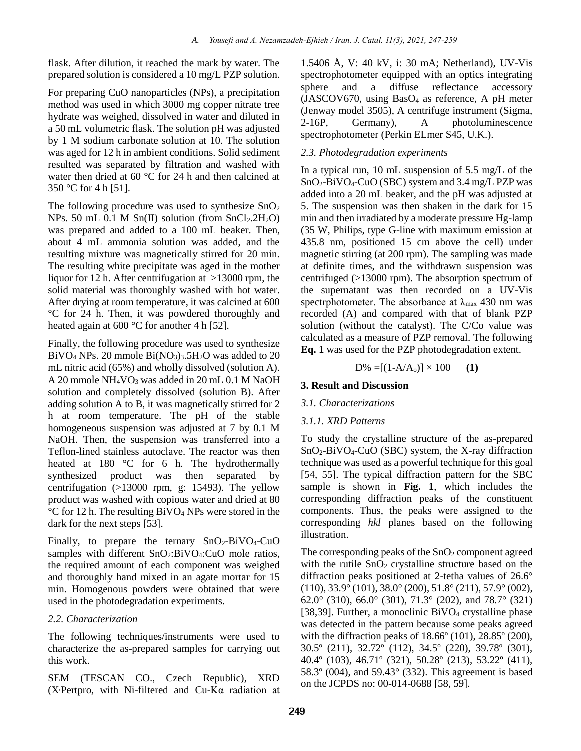flask. After dilution, it reached the mark by water. The prepared solution is considered a 10 mg/L PZP solution.

For preparing CuO nanoparticles (NPs), a precipitation method was used in which 3000 mg copper nitrate tree hydrate was weighed, dissolved in water and diluted in a 50 mL volumetric flask. The solution pH was adjusted by 1 M sodium carbonate solution at 10. The solution was aged for 12 h in ambient conditions. Solid sediment resulted was separated by filtration and washed with water then dried at 60 °C for 24 h and then calcined at 350 °C for 4 h [51].

The following procedure was used to synthesize  $SnO<sub>2</sub>$ NPs. 50 mL 0.1 M Sn(II) solution (from  $SnCl<sub>2</sub>$ .2H<sub>2</sub>O) was prepared and added to a 100 mL beaker. Then, about 4 mL ammonia solution was added, and the resulting mixture was magnetically stirred for 20 min. The resulting white precipitate was aged in the mother liquor for 12 h. After centrifugation at >13000 rpm, the solid material was thoroughly washed with hot water. After drying at room temperature, it was calcined at 600 °C for 24 h. Then, it was powdered thoroughly and heated again at 600 °C for another 4 h [52].

Finally, the following procedure was used to synthesize  $BiVO<sub>4</sub> NPs.$  20 mmole  $Bi(NO<sub>3</sub>)<sub>3</sub>$ .5H<sub>2</sub>O was added to 20 mL nitric acid (65%) and wholly dissolved (solution A). A 20 mmole  $NH_4VO_3$  was added in 20 mL 0.1 M NaOH solution and completely dissolved (solution B). After adding solution A to B, it was magnetically stirred for 2 h at room temperature. The pH of the stable homogeneous suspension was adjusted at 7 by 0.1 M NaOH. Then, the suspension was transferred into a Teflon-lined stainless autoclave. The reactor was then heated at 180 °C for 6 h. The hydrothermally synthesized product was then separated by centrifugation (>13000 rpm, g: 15493). The yellow product was washed with copious water and dried at 80 °C for 12 h. The resulting BiVO<sup>4</sup> NPs were stored in the dark for the next steps [53].

Finally, to prepare the ternary  $SnO<sub>2</sub>-BiVO<sub>4</sub>-CuO$ samples with different SnO<sub>2</sub>:BiVO<sub>4</sub>:CuO mole ratios, the required amount of each component was weighed and thoroughly hand mixed in an agate mortar for 15 min. Homogenous powders were obtained that were used in the photodegradation experiments.

# *2.2. Characterization*

The following techniques/instruments were used to characterize the as-prepared samples for carrying out this work.

SEM (TESCAN CO., Czech Republic), XRD (X<sup>,</sup>Pertpro, with Ni-filtered and Cu-K $\alpha$  radiation at

1.5406 Å, V: 40 kV, i: 30 mA; Netherland), UV-Vis spectrophotometer equipped with an optics integrating sphere and a diffuse reflectance accessory (JASCOV670, using BasO<sup>4</sup> as reference, A pH meter (Jenway model 3505), A centrifuge instrument (Sigma, 2-16P, Germany), A photoluminescence spectrophotometer (Perkin ELmer S45, U.K.).

#### *2.3. Photodegradation experiments*

In a typical run, 10 mL suspension of 5.5 mg/L of the SnO2-BiVO4-CuO (SBC) system and 3.4 mg/L PZP was added into a 20 mL beaker, and the pH was adjusted at 5. The suspension was then shaken in the dark for 15 min and then irradiated by a moderate pressure Hg-lamp (35 W, Philips, type G-line with maximum emission at 435.8 nm, positioned 15 cm above the cell) under magnetic stirring (at 200 rpm). The sampling was made at definite times, and the withdrawn suspension was centrifuged (>13000 rpm). The absorption spectrum of the supernatant was then recorded on a UV-Vis spectrphotometer. The absorbance at  $\lambda_{\text{max}}$  430 nm was recorded (A) and compared with that of blank PZP solution (without the catalyst). The C/Co value was calculated as a measure of PZP removal. The following **Eq. 1** was used for the PZP photodegradation extent.

$$
D\% = [(1-A/A_0)] \times 100 \qquad (1)
$$

# **3. Result and Discussion**

#### *3.1. Characterizations*

# *3.1.1. XRD Patterns*

To study the crystalline structure of the as-prepared  $SnO<sub>2</sub>-BiVO<sub>4</sub>-CuO (SBC) system, the X-ray diffraction$ technique was used as a powerful technique for this goal [54, 55]. The typical diffraction pattern for the SBC sample is shown in **Fig. 1**, which includes the corresponding diffraction peaks of the constituent components. Thus, the peaks were assigned to the corresponding *hkl* planes based on the following illustration.

The corresponding peaks of the  $SnO<sub>2</sub>$  component agreed with the rutile  $SnO<sub>2</sub>$  crystalline structure based on the diffraction peaks positioned at 2-tetha values of 26.6° (110), 33.9° (101), 38.0° (200), 51.8° (211), 57.9° (002), 62.0° (310), 66.0° (301), 71.3° (202), and 78.7° (321) [38,39]. Further, a monoclinic BiVO<sub>4</sub> crystalline phase was detected in the pattern because some peaks agreed with the diffraction peaks of 18.66º (101), 28.85º (200), 30.5º (211), 32.72º (112), 34.5º (220), 39.78º (301), 40.4º (103), 46.71º (321), 50.28º (213), 53.22º (411), 58.3º (004), and 59.43° (332). This agreement is based on the JCPDS no: 00-014-0688 [58, 59].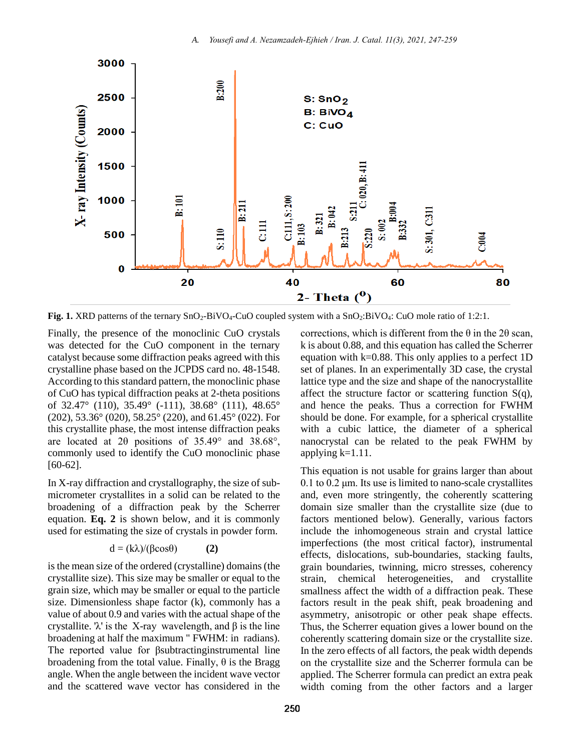

**Fig. 1.** XRD patterns of the ternary  $SnO_2-BiVO_4-CuO$  coupled system with a  $SnO_2:BiVO_4$ : CuO mole ratio of 1:2:1.

Finally, the presence of the monoclinic CuO crystals was detected for the CuO component in the ternary catalyst because some diffraction peaks agreed with this crystalline phase based on the JCPDS card no. 48-1548. According to this standard pattern, the monoclinic phase of CuO has typical diffraction peaks at 2-theta positions of 32.47 $\degree$  (110), 35.49 $\degree$  (-111), 38.68 $\degree$  (111), 48.65 $\degree$ (202), 53.36° (020), 58.25° (220), and 61.45° (022). For this crystallite phase, the most intense diffraction peaks are located at 2θ positions of 35.49° and 38.68°, commonly used to identify the CuO monoclinic phase [60-62].

In X-ray diffraction and crystallography, the size of submicrometer crystallites in a solid can be related to the broadening of a diffraction peak by the Scherrer equation. **Eq. 2** is shown below, and it is commonly used for estimating the size of crystals in powder form.

$$
d = (k\lambda)/(\beta \cos \theta) \tag{2}
$$

is the mean size of the ordered (crystalline) domains (the crystallite size). This size may be smaller or equal to the grain size, which may be smaller or equal to the particle size. Dimensionless shape factor (k), commonly has a value of about 0.9 and varies with the actual shape of the crystallite. 'λ' is the X-ray wavelength, and β is the line broadening at half the maximum " FWHM: in radians). The reported value for βsubtractinginstrumental line broadening from the total value. Finally, θ is the Bragg angle. When the angle between the incident wave vector and the scattered wave vector has considered in the

corrections, which is different from the  $\theta$  in the 2 $\theta$  scan, k is about 0.88, and this equation has called the Scherrer equation with k=0.88. This only applies to a perfect 1D set of planes. In an experimentally 3D case, the crystal lattice type and the size and shape of the nanocrystallite affect the structure factor or scattering function  $S(q)$ , and hence the peaks. Thus a correction for FWHM should be done. For example, for a spherical crystallite with a cubic lattice, the diameter of a spherical nanocrystal can be related to the peak FWHM by applying k=1.11.

This equation is not usable for grains larger than about 0.1 to 0.2 μm. Its use is limited to nano-scale crystallites and, even more stringently, the coherently scattering domain size smaller than the crystallite size (due to factors mentioned below). Generally, various factors include the inhomogeneous strain and crystal lattice imperfections (the most critical factor), instrumental effects, dislocations, sub-boundaries, stacking faults, grain boundaries, twinning, micro stresses, coherency strain, chemical heterogeneities, and crystallite smallness affect the width of a diffraction peak. These factors result in the peak shift, peak broadening and asymmetry, anisotropic or other peak shape effects. Thus, the Scherrer equation gives a lower bound on the coherently scattering domain size or the crystallite size. In the zero effects of all factors, the peak width depends on the crystallite size and the Scherrer formula can be applied. The Scherrer formula can predict an extra peak width coming from the other factors and a larger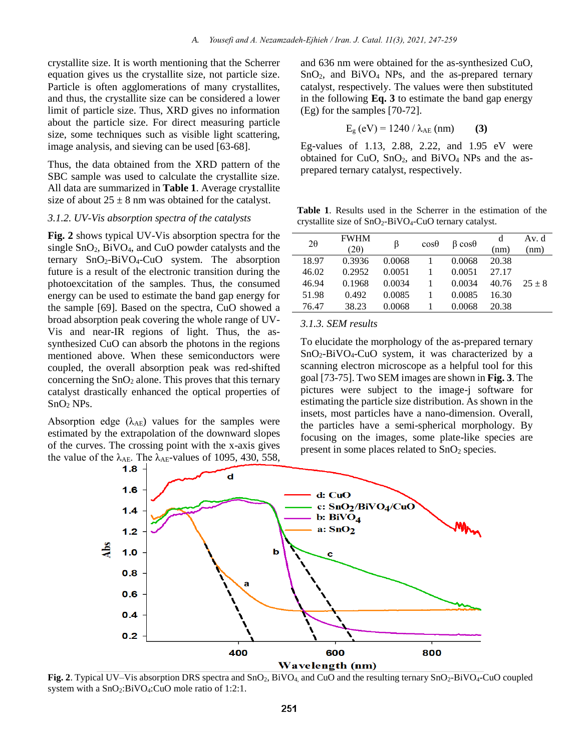crystallite size. It is worth mentioning that the Scherrer equation gives us the crystallite size, not particle size. Particle is often agglomerations of many crystallites, and thus, the crystallite size can be considered a lower limit of particle size. Thus, XRD gives no information about the particle size. For direct measuring particle size, some techniques such as visible light scattering, image analysis, and sieving can be used [63-68].

Thus, the data obtained from the XRD pattern of the SBC sample was used to calculate the crystallite size. All data are summarized in **Table 1**. Average crystallite size of about  $25 \pm 8$  nm was obtained for the catalyst.

#### *3.1.2. UV-Vis absorption spectra of the catalysts*

**Fig. 2** shows typical UV-Vis absorption spectra for the single  $SnO<sub>2</sub>$ ,  $BiVO<sub>4</sub>$ , and CuO powder catalysts and the ternary  $SnO_2-BiVO_4-CuO$  system. The absorption future is a result of the electronic transition during the photoexcitation of the samples. Thus, the consumed energy can be used to estimate the band gap energy for the sample [69]. Based on the spectra, CuO showed a broad absorption peak covering the whole range of UV-Vis and near-IR regions of light. Thus, the assynthesized CuO can absorb the photons in the regions mentioned above. When these semiconductors were coupled, the overall absorption peak was red-shifted concerning the  $SnO<sub>2</sub>$  alone. This proves that this ternary catalyst drastically enhanced the optical properties of SnO<sup>2</sup> NPs.

Absorption edge  $(\lambda_{AE})$  values for the samples were estimated by the extrapolation of the downward slopes of the curves. The crossing point with the x-axis gives the value of the  $\lambda_{AE}$ . The  $\lambda_{AE}$ -values of 1095, 430, 558, and 636 nm were obtained for the as-synthesized CuO, SnO2, and BiVO<sup>4</sup> NPs, and the as-prepared ternary catalyst, respectively. The values were then substituted in the following **Eq. 3** to estimate the band gap energy (Eg) for the samples [70-72].

$$
E_g (eV) = 1240 / \lambda_{AE} (nm)
$$
 (3)

Eg-values of 1.13, 2.88, 2.22, and 1.95 eV were obtained for CuO,  $SnO<sub>2</sub>$ , and  $BiVO<sub>4</sub>$  NPs and the asprepared ternary catalyst, respectively.

**Table 1**. Results used in the Scherrer in the estimation of the crystallite size of SnO2-BiVO4-CuO ternary catalyst.

| $2\theta$ | <b>FWHM</b><br>$(2\theta)$ | ß      | $cos\theta$ | $\beta$ cos $\theta$ | d<br>(nm) | Av. d<br>(nm) |
|-----------|----------------------------|--------|-------------|----------------------|-----------|---------------|
| 18.97     | 0.3936                     | 0.0068 |             | 0.0068               | 20.38     |               |
| 46.02     | 0.2952                     | 0.0051 |             | 0.0051               | 27.17     |               |
| 46.94     | 0.1968                     | 0.0034 |             | 0.0034               | 40.76     | $25 + 8$      |
| 51.98     | 0.492                      | 0.0085 |             | 0.0085               | 16.30     |               |
| 76.47     | 38.23                      | 0.0068 |             | 0.0068               | 20.38     |               |

#### *3.1.3. SEM results*

To elucidate the morphology of the as-prepared ternary SnO2-BiVO4-CuO system, it was characterized by a scanning electron microscope as a helpful tool for this goal [73-75]. Two SEM images are shown in **Fig. 3**. The pictures were subject to the image-j software for estimating the particle size distribution. As shown in the insets, most particles have a nano-dimension. Overall, the particles have a semi-spherical morphology. By focusing on the images, some plate-like species are present in some places related to  $SnO<sub>2</sub>$  species.



**Fig. 2**. Typical UV–Vis absorption DRS spectra and SnO<sub>2</sub>, BiVO<sub>4</sub>, and CuO and the resulting ternary SnO<sub>2</sub>-BiVO<sub>4</sub>-CuO coupled system with a SnO2:BiVO4:CuO mole ratio of 1:2:1.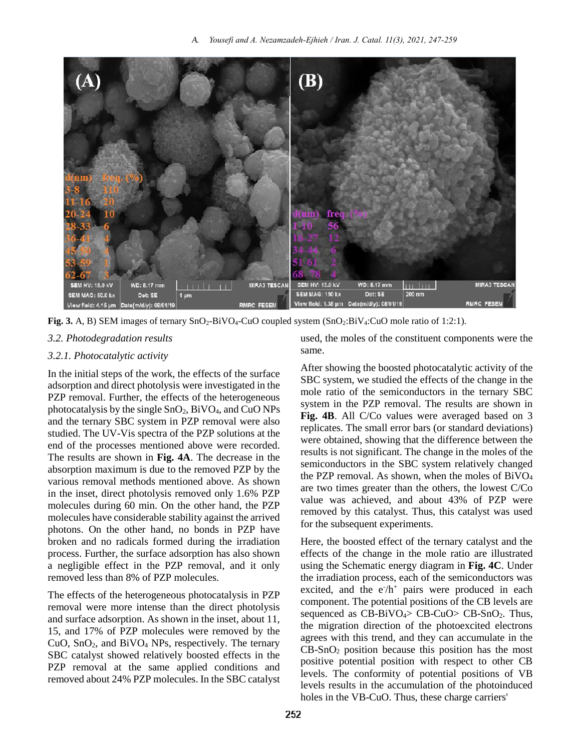

Fig. 3. A, B) SEM images of ternary SnO<sub>2</sub>-BiVO<sub>4</sub>-CuO coupled system (SnO<sub>2</sub>:BiV<sub>4</sub>:CuO mole ratio of 1:2:1).

# *3.2. Photodegradation results*

# *3.2.1. Photocatalytic activity*

In the initial steps of the work, the effects of the surface adsorption and direct photolysis were investigated in the PZP removal. Further, the effects of the heterogeneous photocatalysis by the single  $SnO<sub>2</sub>$ ,  $BiVO<sub>4</sub>$ , and CuO NPs and the ternary SBC system in PZP removal were also studied. The UV-Vis spectra of the PZP solutions at the end of the processes mentioned above were recorded. The results are shown in **Fig. 4A**. The decrease in the absorption maximum is due to the removed PZP by the various removal methods mentioned above. As shown in the inset, direct photolysis removed only 1.6% PZP molecules during 60 min. On the other hand, the PZP molecules have considerable stability against the arrived photons. On the other hand, no bonds in PZP have broken and no radicals formed during the irradiation process. Further, the surface adsorption has also shown a negligible effect in the PZP removal, and it only removed less than 8% of PZP molecules.

The effects of the heterogeneous photocatalysis in PZP removal were more intense than the direct photolysis and surface adsorption. As shown in the inset, about 11, 15, and 17% of PZP molecules were removed by the CuO, SnO2, and BiVO<sup>4</sup> NPs, respectively. The ternary SBC catalyst showed relatively boosted effects in the PZP removal at the same applied conditions and removed about 24% PZP molecules. In the SBC catalyst used, the moles of the constituent components were the same.

After showing the boosted photocatalytic activity of the SBC system, we studied the effects of the change in the mole ratio of the semiconductors in the ternary SBC system in the PZP removal. The results are shown in **Fig. 4B**. All C/Co values were averaged based on 3 replicates. The small error bars (or standard deviations) were obtained, showing that the difference between the results is not significant. The change in the moles of the semiconductors in the SBC system relatively changed the PZP removal. As shown, when the moles of  $BiVO<sub>4</sub>$ are two times greater than the others, the lowest C/Co value was achieved, and about 43% of PZP were removed by this catalyst. Thus, this catalyst was used for the subsequent experiments.

Here, the boosted effect of the ternary catalyst and the effects of the change in the mole ratio are illustrated using the Schematic energy diagram in **Fig. 4C**. Under the irradiation process, each of the semiconductors was excited, and the  $e^{\gamma}/h^+$  pairs were produced in each component. The potential positions of the CB levels are sequenced as  $CB-BiVO<sub>4</sub> > CB-CuO > CB-SnO<sub>2</sub>$ . Thus, the migration direction of the photoexcited electrons agrees with this trend, and they can accumulate in the  $CB-SnO<sub>2</sub>$  position because this position has the most positive potential position with respect to other CB levels. The conformity of potential positions of VB levels results in the accumulation of the photoinduced holes in the VB-CuO. Thus, these charge carriers'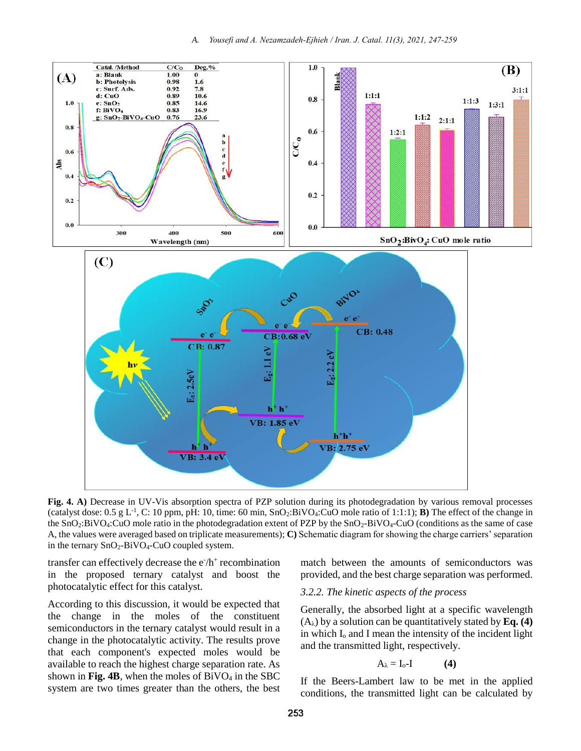

**Fig. 4. A)** Decrease in UV-Vis absorption spectra of PZP solution during its photodegradation by various removal processes (catalyst dose: 0.5 g L<sup>-1</sup>, C: 10 ppm, pH: 10, time: 60 min, SnO<sub>2</sub>:BiVO<sub>4</sub>:CuO mole ratio of 1:1:1); **B**) The effect of the change in the  $SnO<sub>2</sub>: BiVO<sub>4</sub>: CuO$  mole ratio in the photodegradation extent of PZP by the  $SnO<sub>2</sub>-BiVO<sub>4</sub>-CuO$  (conditions as the same of case A, the values were averaged based on triplicate measurements); **C)** Schematic diagram for showing the charge carriers' separation in the ternary  $SnO<sub>2</sub>-BiVO<sub>4</sub>-CuO$  coupled system.

transfer can effectively decrease the  $e^{\gamma}h^+$  recombination in the proposed ternary catalyst and boost the photocatalytic effect for this catalyst.

According to this discussion, it would be expected that the change in the moles of the constituent semiconductors in the ternary catalyst would result in a change in the photocatalytic activity. The results prove that each component's expected moles would be available to reach the highest charge separation rate. As shown in Fig. 4B, when the moles of  $\rm BiVO_4$  in the SBC system are two times greater than the others, the best match between the amounts of semiconductors was provided, and the best charge separation was performed.

#### *3.2.2. The kinetic aspects of the process*

Generally, the absorbed light at a specific wavelength  $(A_{\lambda})$  by a solution can be quantitatively stated by **Eq. (4)** in which  $I_0$  and I mean the intensity of the incident light and the transmitted light, respectively.

$$
A_{\lambda} = I_{o} - I \tag{4}
$$

If the Beers-Lambert law to be met in the applied conditions, the transmitted light can be calculated by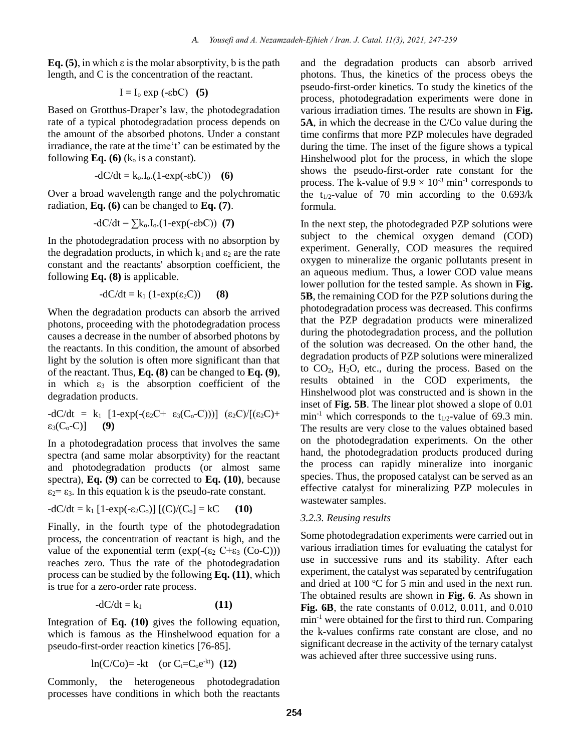**Eq. (5)**, in which ε is the molar absorptivity, b is the path length, and C is the concentration of the reactant.

$$
I = I_o \exp(-\epsilon bC) \quad (5)
$$

Based on Grotthus-Draper's law, the photodegradation rate of a typical photodegradation process depends on the amount of the absorbed photons. Under a constant irradiance, the rate at the time't' can be estimated by the following **Eq.** (6) ( $k_0$  is a constant).

$$
-dC/dt = k_o.I_o.(1-exp(-ebC))
$$
 (6)

Over a broad wavelength range and the polychromatic radiation, **Eq. (6)** can be changed to **Eq. (7)**.

$$
-dC/dt = \sum k_o I_o.(1-exp(-ebC))
$$
 (7)

In the photodegradation process with no absorption by the degradation products, in which  $k_1$  and  $\varepsilon_2$  are the rate constant and the reactants' absorption coefficient, the following **Eq. (8)** is applicable.

$$
-dC/dt = k_1 (1-exp(\epsilon_2 C))
$$
 (8)

When the degradation products can absorb the arrived photons, proceeding with the photodegradation process causes a decrease in the number of absorbed photons by the reactants. In this condition, the amount of absorbed light by the solution is often more significant than that of the reactant. Thus, **Eq. (8)** can be changed to **Eq. (9)**, in which  $\varepsilon_3$  is the absorption coefficient of the degradation products.

 $-dC/dt = k_1 [1-exp(-(\epsilon_2C+ \epsilon_3(C_0-C)))] (\epsilon_2C)/[(\epsilon_2C)+$  $\varepsilon_3(C_0-C)$ ] (9)

In a photodegradation process that involves the same spectra (and same molar absorptivity) for the reactant and photodegradation products (or almost same spectra), **Eq. (9)** can be corrected to **Eq. (10)**, because  $\varepsilon_2 = \varepsilon_3$ . In this equation k is the pseudo-rate constant.

$$
-dC/dt = k_1 [1-exp(-\varepsilon_2 C_o)] [(C)/(C_o)] = kC
$$
 (10)

Finally, in the fourth type of the photodegradation process, the concentration of reactant is high, and the value of the exponential term  $(exp(-(\epsilon_2 C+\epsilon_3 (Co-C)))$ reaches zero. Thus the rate of the photodegradation process can be studied by the following **Eq. (11)**, which is true for a zero-order rate process.

$$
-dC/dt = k_1 \tag{11}
$$

Integration of **Eq. (10)** gives the following equation, which is famous as the Hinshelwood equation for a pseudo-first-order reaction kinetics [76-85].

$$
ln(C/Co) = -kt \quad (or Ct=Coe-kt) \ (12)
$$

Commonly, the heterogeneous photodegradation processes have conditions in which both the reactants

and the degradation products can absorb arrived photons. Thus, the kinetics of the process obeys the pseudo-first-order kinetics. To study the kinetics of the process, photodegradation experiments were done in various irradiation times. The results are shown in **Fig. 5A**, in which the decrease in the C/Co value during the time confirms that more PZP molecules have degraded during the time. The inset of the figure shows a typical Hinshelwood plot for the process, in which the slope shows the pseudo-first-order rate constant for the process. The k-value of  $9.9 \times 10^{-3}$  min<sup>-1</sup> corresponds to the t<sub>1/2</sub>-value of 70 min according to the  $0.693/k$ formula.

In the next step, the photodegraded PZP solutions were subject to the chemical oxygen demand (COD) experiment. Generally, COD measures the required oxygen to mineralize the organic pollutants present in an aqueous medium. Thus, a lower COD value means lower pollution for the tested sample. As shown in **Fig. 5B**, the remaining COD for the PZP solutions during the photodegradation process was decreased. This confirms that the PZP degradation products were mineralized during the photodegradation process, and the pollution of the solution was decreased. On the other hand, the degradation products of PZP solutions were mineralized to  $CO<sub>2</sub>$ ,  $H<sub>2</sub>O$ , etc., during the process. Based on the results obtained in the COD experiments, the Hinshelwood plot was constructed and is shown in the inset of **Fig. 5B**. The linear plot showed a slope of 0.01 min<sup>-1</sup> which corresponds to the  $t_{1/2}$ -value of 69.3 min. The results are very close to the values obtained based on the photodegradation experiments. On the other hand, the photodegradation products produced during the process can rapidly mineralize into inorganic species. Thus, the proposed catalyst can be served as an effective catalyst for mineralizing PZP molecules in wastewater samples.

#### *3.2.3. Reusing results*

Some photodegradation experiments were carried out in various irradiation times for evaluating the catalyst for use in successive runs and its stability. After each experiment, the catalyst was separated by centrifugation and dried at 100 ºC for 5 min and used in the next run. The obtained results are shown in **Fig. 6**. As shown in **Fig. 6B**, the rate constants of 0.012, 0.011, and 0.010 min-1 were obtained for the first to third run. Comparing the k-values confirms rate constant are close, and no significant decrease in the activity of the ternary catalyst was achieved after three successive using runs.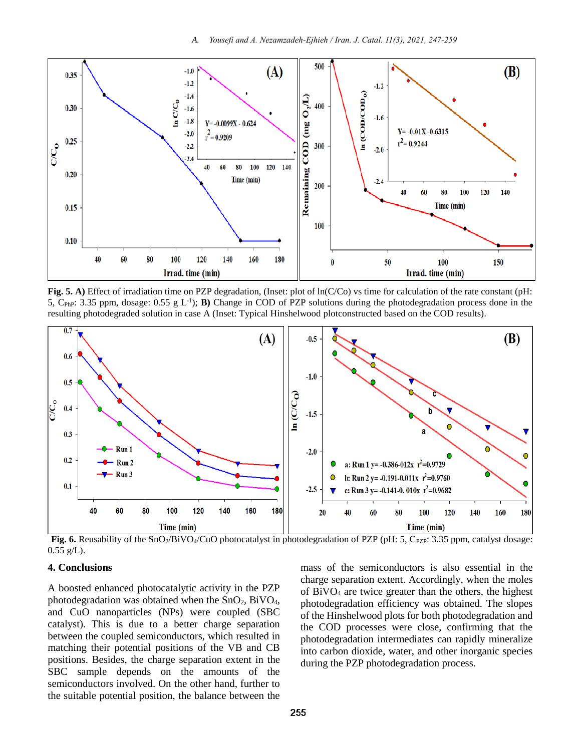

**Fig. 5. A)** Effect of irradiation time on PZP degradation, (Inset: plot of ln(C/Co) vs time for calculation of the rate constant (pH: 5, C<sub>PhP</sub>: 3.35 ppm, dosage: 0.55 g L<sup>-1</sup>); **B**) Change in COD of PZP solutions during the photodegradation process done in the resulting photodegraded solution in case A (Inset: Typical Hinshelwood plotconstructed based on the COD results).



**Fig. 6.** Reusability of the SnO<sub>2</sub>/BiVO<sub>4</sub>/CuO photocatalyst in photodegradation of PZP (pH: 5, C<sub>PZP</sub>: 3.35 ppm, catalyst dosage:  $0.55$  g/L).

#### **4. Conclusions**

A boosted enhanced photocatalytic activity in the PZP photodegradation was obtained when the  $SnO<sub>2</sub>$ , BiVO<sub>4</sub>, and CuO nanoparticles (NPs) were coupled (SBC catalyst). This is due to a better charge separation between the coupled semiconductors, which resulted in matching their potential positions of the VB and CB positions. Besides, the charge separation extent in the SBC sample depends on the amounts of the semiconductors involved. On the other hand, further to the suitable potential position, the balance between the

mass of the semiconductors is also essential in the charge separation extent. Accordingly, when the moles of BiVO<sup>4</sup> are twice greater than the others, the highest photodegradation efficiency was obtained. The slopes of the Hinshelwood plots for both photodegradation and the COD processes were close, confirming that the photodegradation intermediates can rapidly mineralize into carbon dioxide, water, and other inorganic species during the PZP photodegradation process.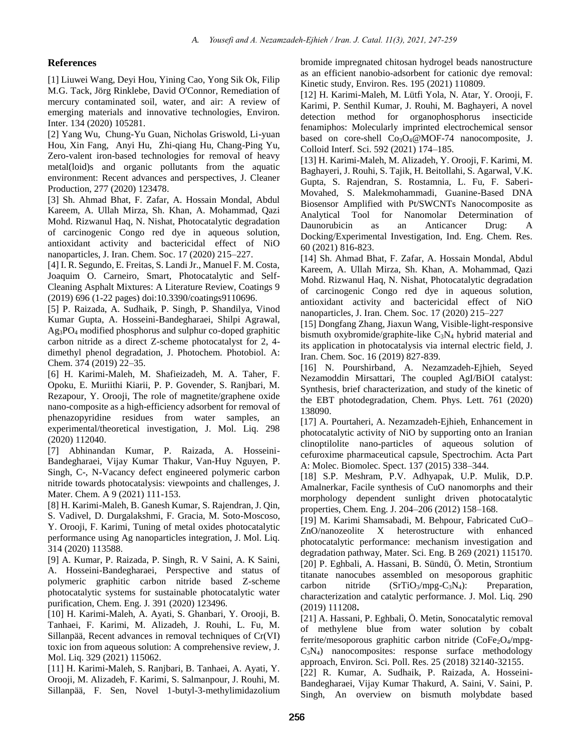#### **References**

[1] Liuwei Wang, Deyi Hou, Yining Cao, Yong Sik Ok, Filip M.G. Tack, Jörg Rinklebe, David O'Connor, Remediation of mercury contaminated soil, water, and air: A review of emerging materials and innovative technologies, Environ. Inter. 134 (2020) 105281.

[2] Yang Wu, Chung-Yu Guan, Nicholas Griswold, Li-yuan Hou, Xin Fang, Anyi Hu, Zhi-qiang Hu, Chang-Ping Yu, Zero-valent iron-based technologies for removal of heavy metal(loid)s and organic pollutants from the aquatic environment: Recent advances and perspectives, J. Cleaner Production, 277 (2020) 123478.

[3] Sh. Ahmad Bhat, F. Zafar, A. Hossain Mondal, Abdul Kareem, A. Ullah Mirza, Sh. Khan, A. Mohammad, Qazi Mohd. Rizwanul Haq, N. Nishat, Photocatalytic degradation of carcinogenic Congo red dye in aqueous solution, antioxidant activity and bactericidal effect of NiO nanoparticles, J. Iran. Chem. Soc. 17 (2020) 215–227.

[4] I. R. Segundo, E. Freitas, S. Landi Jr., Manuel F. M. Costa, Joaquim O. Carneiro, Smart, Photocatalytic and Self-Cleaning Asphalt Mixtures: A Literature Review, Coatings 9 (2019) 696 (1-22 pages) doi:10.3390/coatings9110696.

[5] P. Raizada, A. Sudhaik, P. Singh, P. Shandilya, Vinod Kumar Gupta, A. Hosseini-Bandegharaei, Shilpi Agrawal, Ag3PO<sup>4</sup> modified phosphorus and sulphur co-doped graphitic carbon nitride as a direct Z-scheme photocatalyst for 2, 4 dimethyl phenol degradation, J. Photochem. Photobiol. A: Chem. 374 (2019) 22–35.

[6] H. Karimi-Maleh, M. Shafieizadeh, M. A. Taher, F. Opoku, E. Muriithi Kiarii, P. P. Govender, S. Ranjbari, M. Rezapour, Y. Orooji, The role of magnetite/graphene oxide nano-composite as a high-efficiency adsorbent for removal of phenazopyridine residues from water samples, an experimental/theoretical investigation, J. Mol. Liq. 298 (2020) 112040.

[7] Abhinandan Kumar, P. Raizada, A. Hosseini-Bandegharaei, Vijay Kumar Thakur, Van-Huy Nguyen, P. Singh, C-, N-Vacancy defect engineered polymeric carbon nitride towards photocatalysis: viewpoints and challenges, J. Mater. Chem. A 9 (2021) 111-153.

[8] H. Karimi-Maleh, B. Ganesh Kumar, S. Rajendran, J. Qin, S. Vadivel, D. Durgalakshmi, F. Gracia, M. Soto-Moscoso, Y. Orooji, F. Karimi, Tuning of metal oxides photocatalytic performance using Ag nanoparticles integration, J. Mol. Liq. 314 (2020) 113588.

[9] A. Kumar, P. Raizada, P. Singh, R. V Saini, A. K Saini, A. Hosseini-Bandegharaei, Perspective and status of polymeric graphitic carbon nitride based Z-scheme photocatalytic systems for sustainable photocatalytic water purification, Chem. Eng. J. 391 (2020) 123496.

[10] H. Karimi-Maleh, A. Ayati, S. Ghanbari, Y. Orooji, B. Tanhaei, F. Karimi, M. Alizadeh, J. Rouhi, L. Fu, M. Sillanpää, Recent advances in removal techniques of Cr(VI) toxic ion from aqueous solution: A comprehensive review, J. Mol. Liq. 329 (2021) 115062.

[11] H. Karimi-Maleh, S. Ranjbari, B. Tanhaei, A. Ayati, Y. Orooji, M. Alizadeh, F. Karimi, S. Salmanpour, J. Rouhi, M. Sillanpää, F. Sen, Novel 1-butyl-3-methylimidazolium bromide impregnated chitosan hydrogel beads nanostructure as an efficient nanobio-adsorbent for cationic dye removal: Kinetic study, Environ. Res. 195 (2021) 110809.

[12] H. Karimi-Maleh, M. Lütfi Yola, N. Atar, Y. Orooji, F. Karimi, P. Senthil Kumar, J. Rouhi, M. Baghayeri, A novel detection method for organophosphorus insecticide fenamiphos: Molecularly imprinted electrochemical sensor based on core-shell  $Co<sub>3</sub>O<sub>4</sub>@MOF-74$  nanocomposite, J. Colloid Interf. Sci. 592 (2021) 174–185.

[13] H. Karimi-Maleh, M. Alizadeh, Y. Orooji, F. Karimi, M. Baghayeri, J. Rouhi, S. Tajik, H. Beitollahi, S. Agarwal, V.K. Gupta, S. Rajendran, S. Rostamnia, L. Fu, F. Saberi-Movahed, S. Malekmohammadi, Guanine-Based DNA Biosensor Amplified with Pt/SWCNTs Nanocomposite as Analytical Tool for Nanomolar Determination of Daunorubicin as an Anticancer Drug: A Docking/Experimental Investigation, Ind. Eng. Chem. Res. 60 (2021) 816-823.

[14] Sh. Ahmad Bhat, F. Zafar, A. Hossain Mondal, Abdul Kareem, A. Ullah Mirza, Sh. Khan, A. Mohammad, Qazi Mohd. Rizwanul Haq, N. Nishat, Photocatalytic degradation of carcinogenic Congo red dye in aqueous solution, antioxidant activity and bactericidal effect of NiO nanoparticles, J. Iran. Chem. Soc. 17 (2020) 215–227

[15] Dongfang Zhang, Jiaxun Wang, Visible-light-responsive bismuth oxybromide/graphite-like  $C_3N_4$  hybrid material and its application in photocatalysis via internal electric field, J. Iran. Chem. Soc. 16 (2019) 827-839.

[16] N. Pourshirband, A. Nezamzadeh-Ejhieh, Seyed Nezamoddin Mirsattari, The coupled AgI/BiOI catalyst: Synthesis, brief characterization, and study of the kinetic of the EBT photodegradation, Chem. Phys. Lett. 761 (2020) 138090.

[17] A. Pourtaheri, A. Nezamzadeh-Ejhieh, Enhancement in photocatalytic activity of NiO by supporting onto an Iranian clinoptilolite nano-particles of aqueous solution of cefuroxime pharmaceutical capsule, Spectrochim. Acta Part A: Molec. Biomolec. Spect. 137 (2015) 338–344.

[18] S.P. Meshram, P.V. Adhyapak, U.P. Mulik, D.P. Amalnerkar, Facile synthesis of CuO nanomorphs and their morphology dependent sunlight driven photocatalytic properties, Chem. Eng. J. 204–206 (2012) 158–168.

[19] M. Karimi Shamsabadi, M. Behpour, Fabricated CuO– ZnO/nanozeolite X heterostructure with enhanced photocatalytic performance: mechanism investigation and degradation pathway, Mater. Sci. Eng. B 269 (2021) 115170. [20] P. Eghbali, A. Hassani, B. Sündü, Ö. Metin, Strontium titanate nanocubes assembled on mesoporous graphitic carbon nitride  $(SrTiO<sub>3</sub>/mpg-C<sub>3</sub>N<sub>4</sub>)$ : Preparation, characterization and catalytic performance. J. Mol. Liq. 290 (2019) 111208**.**

[21] A. Hassani, P. Eghbali, Ö. Metin, Sonocatalytic removal of methylene blue from water solution by cobalt ferrite/mesoporous graphitic carbon nitride (CoFe<sub>2</sub>O<sub>4</sub>/mpg-C3N4) nanocomposites: response surface methodology approach, Environ. Sci. Poll. Res. 25 (2018) 32140-32155.

[22] R. Kumar, A. Sudhaik, P. Raizada, A. Hosseini-Bandegharaei, Vijay Kumar Thakurd, A. Saini, V. Saini, P. Singh, An overview on bismuth molybdate based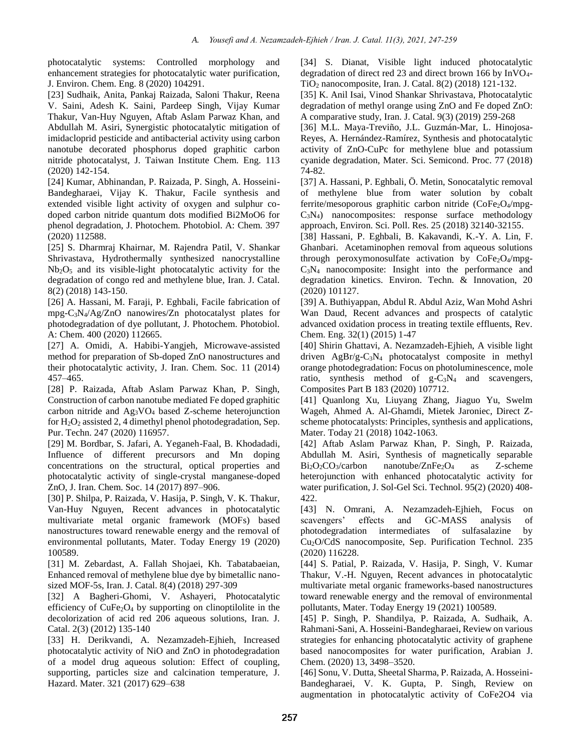photocatalytic systems: Controlled morphology and enhancement strategies for photocatalytic water purification, J. Environ. Chem. Eng. 8 (2020) 104291.

[23] Sudhaik, Anita, Pankaj Raizada, Saloni Thakur, Reena V. Saini, Adesh K. Saini, Pardeep Singh, Vijay Kumar Thakur, Van-Huy Nguyen, Aftab Aslam Parwaz Khan, and Abdullah M. Asiri, Synergistic photocatalytic mitigation of imidacloprid pesticide and antibacterial activity using carbon nanotube decorated phosphorus doped graphitic carbon nitride photocatalyst, J. Taiwan Institute Chem. Eng. 113 (2020) 142-154.

[24] Kumar, Abhinandan, P. Raizada, P. Singh, A. Hosseini-Bandegharaei, Vijay K. Thakur, Facile synthesis and extended visible light activity of oxygen and sulphur codoped carbon nitride quantum dots modified Bi2MoO6 for phenol degradation, J. Photochem. Photobiol. A: Chem. 397 (2020) 112588.

[25] S. Dharmraj Khairnar, M. Rajendra Patil, V. Shankar Shrivastava, Hydrothermally synthesized nanocrystalline  $Nb<sub>2</sub>O<sub>5</sub>$  and its visible-light photocatalytic activity for the degradation of congo red and methylene blue, Iran. J. Catal. 8(2) (2018) 143-150.

[26] A. Hassani, M. Faraji, P. Eghbali, Facile fabrication of mpg-C3N4/Ag/ZnO nanowires/Zn photocatalyst plates for photodegradation of dye pollutant, J. Photochem. Photobiol. A: Chem. 400 (2020) 112665.

[27] A. Omidi, A. Habibi-Yangjeh, Microwave-assisted method for preparation of Sb-doped ZnO nanostructures and their photocatalytic activity, J. Iran. Chem. Soc. 11 (2014) 457–465.

[28] P. Raizada, Aftab Aslam Parwaz Khan, P. Singh, Construction of carbon nanotube mediated Fe doped graphitic carbon nitride and Ag3VO<sup>4</sup> based Z-scheme heterojunction for  $H_2O_2$  assisted 2, 4 dimethyl phenol photodegradation, Sep. Pur. Techn. 247 (2020) 116957.

[29] M. Bordbar, S. Jafari, A. Yeganeh-Faal, B. Khodadadi, Influence of different precursors and Mn doping concentrations on the structural, optical properties and photocatalytic activity of single-crystal manganese-doped ZnO, J. Iran. Chem. Soc. 14 (2017) 897–906.

[30] P. Shilpa, P. Raizada, V. Hasija, P. Singh, V. K. Thakur, Van-Huy Nguyen, Recent advances in photocatalytic multivariate metal organic framework (MOFs) based nanostructures toward renewable energy and the removal of environmental pollutants, Mater. Today Energy 19 (2020) 100589.

[31] M. Zebardast, A. Fallah Shojaei, Kh. Tabatabaeian, Enhanced removal of methylene blue dye by bimetallic nanosized MOF-5s, Iran. J. Catal. 8(4) (2018) 297-309

[32] A Bagheri-Ghomi, V. Ashayeri, Photocatalytic efficiency of CuFe2O<sup>4</sup> by supporting on clinoptilolite in the decolorization of acid red 206 aqueous solutions, Iran. J. Catal. 2(3) (2012) 135-140

[33] H. Derikvandi, A. Nezamzadeh-Ejhieh, Increased photocatalytic activity of NiO and ZnO in photodegradation of a model drug aqueous solution: Effect of coupling, supporting, particles size and calcination temperature, J. Hazard. Mater. 321 (2017) 629–638

[34] S. Dianat, Visible light induced photocatalytic degradation of direct red 23 and direct brown 166 by InVO4- TiO<sup>2</sup> nanocomposite, Iran. J. Catal. 8(2) (2018) 121-132.

[35] K. Anil Isai, Vinod Shankar Shrivastava, Photocatalytic degradation of methyl orange using ZnO and Fe doped ZnO: A comparative study, Iran. J. Catal. 9(3) (2019) 259-268

[36] M.L. Maya-Treviño, J.L. Guzmán-Mar, L. Hinojosa-Reyes, A. Hernández-Ramírez, Synthesis and photocatalytic activity of ZnO-CuPc for methylene blue and potassium cyanide degradation, Mater. Sci. Semicond. Proc. 77 (2018) 74-82.

[37] A. Hassani, P. Eghbali, Ö. Metin, Sonocatalytic removal of methylene blue from water solution by cobalt ferrite/mesoporous graphitic carbon nitride (CoFe<sub>2</sub>O<sub>4</sub>/mpg-C3N4) nanocomposites: response surface methodology approach, Environ. Sci. Poll. Res. 25 (2018) 32140-32155.

[38] Hassani, P. Eghbali, B. Kakavandi, K.-Y. A. Lin, F. Ghanbari. Acetaminophen removal from aqueous solutions through peroxymonosulfate activation by  $\text{CoFe}_2\text{O}_4/\text{mpg}$ -C3N<sup>4</sup> nanocomposite: Insight into the performance and degradation kinetics. Environ. Techn. & Innovation, 20 (2020) 101127.

[39] A. Buthiyappan, Abdul R. Abdul Aziz, Wan Mohd Ashri Wan Daud, Recent advances and prospects of catalytic advanced oxidation process in treating textile effluents, Rev. Chem. Eng. 32(1) (2015) 1-47

[40] Shirin Ghattavi, A. Nezamzadeh-Ejhieh, A visible light driven AgBr/g-C3N<sup>4</sup> photocatalyst composite in methyl orange photodegradation: Focus on photoluminescence, mole ratio, synthesis method of g-C3N<sup>4</sup> and scavengers, Composites Part B 183 (2020) 107712.

[41] Quanlong Xu, Liuyang Zhang, Jiaguo Yu, Swelm Wageh, Ahmed A. Al-Ghamdi, Mietek Jaroniec, Direct Zscheme photocatalysts: Principles, synthesis and applications, Mater. Today 21 (2018) 1042-1063.

[42] Aftab Aslam Parwaz Khan, P. Singh, P. Raizada, Abdullah M. Asiri, Synthesis of magnetically separable  $Bi<sub>2</sub>O<sub>2</sub>CO<sub>3</sub>/carbon$  nanotube/ZnFe<sub>2</sub>O<sub>4</sub> as Z-scheme heterojunction with enhanced photocatalytic activity for water purification, J. Sol-Gel Sci. Technol. 95(2) (2020) 408- 422.

[43] N. Omrani, A. Nezamzadeh-Ejhieh, Focus on scavengers' effects and GC-MASS analysis of photodegradation intermediates of sulfasalazine by Cu2O/CdS nanocomposite, Sep. Purification Technol. 235 (2020) 116228.

[44] S. Patial, P. Raizada, V. Hasija, P. Singh, V. Kumar Thakur, V.-H. Nguyen, Recent advances in photocatalytic multivariate metal organic frameworks-based nanostructures toward renewable energy and the removal of environmental pollutants, Mater. Today Energy 19 (2021) 100589.

[45] P. Singh, P. Shandilya, P. Raizada, A. Sudhaik, A. Rahmani-Sani, A. Hosseini-Bandegharaei, Review on various strategies for enhancing photocatalytic activity of graphene based nanocomposites for water purification, Arabian J. Chem. (2020) 13, 3498–3520.

[46] Sonu, V. Dutta, Sheetal Sharma, P. Raizada, A. Hosseini-Bandegharaei, V. K. Gupta, P. Singh, Review on augmentation in photocatalytic activity of CoFe2O4 via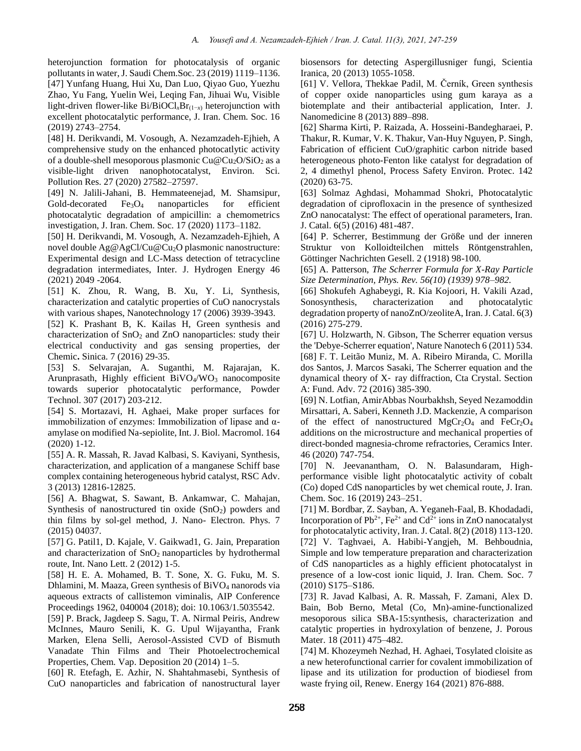heterojunction formation for photocatalysis of organic pollutants in water, J. Saudi Chem.Soc. 23 (2019) 1119–1136. [47] Yunfang Huang, Hui Xu, Dan Luo, Qiyao Guo, Yuezhu Zhao, Yu Fang, Yuelin Wei, Leqing Fan, Jihuai Wu, Visible light-driven flower-like Bi/BiOCl*x*Br(1−*x*) heterojunction with excellent photocatalytic performance, J. Iran. Chem. Soc. 16 (2019) 2743–2754.

[48] H. Derikvandi, M. Vosough, A. Nezamzadeh-Ejhieh, A comprehensive study on the enhanced photocatlytic activity of a double-shell mesoporous plasmonic  $Cu@Cu<sub>2</sub>O/SiO<sub>2</sub>$  as a visible-light driven nanophotocatalyst, Environ. Sci. Pollution Res. 27 (2020) 27582–27597.

[49] N. Jalili-Jahani, B. Hemmateenejad, M. Shamsipur, Gold-decorated  $Fe<sub>3</sub>O<sub>4</sub>$  nanoparticles for efficient photocatalytic degradation of ampicillin: a chemometrics investigation, J. Iran. Chem. Soc. 17 (2020) 1173–1182.

[50] H. Derikvandi, M. Vosough, A. Nezamzadeh-Ejhieh, A novel double Ag@AgCl/Cu@Cu<sub>2</sub>O plasmonic nanostructure: Experimental design and LC-Mass detection of tetracycline degradation intermediates, Inter. J. Hydrogen Energy 46 (2021) 2049 -2064.

[51] K. Zhou, R. Wang, B. Xu, Y. Li, Synthesis, characterization and catalytic properties of CuO nanocrystals with various shapes, Nanotechnology 17 (2006) 3939-3943.

[52] K. Prashant B, K. Kailas H, Green synthesis and characterization of  $SnO<sub>2</sub>$  and  $ZnO$  nanoparticles: study their electrical conductivity and gas sensing properties, der Chemic**.** Sinica. 7 (2016) 29-35.

[53] S. Selvarajan, A. Suganthi, M. Rajarajan, K. Arunprasath, Highly efficient  $BiVO<sub>4</sub>/WO<sub>3</sub>$  nanocomposite towards superior photocatalytic performance, Powder Technol. 307 (2017) 203-212.

[54] S. Mortazavi, H. Aghaei, Make proper surfaces for immobilization of enzymes: Immobilization of lipase and αamylase on modified Na-sepiolite, Int. J. Biol. Macromol. 164 (2020) 1-12.

[55] A. R. Massah, R. Javad Kalbasi, S. Kaviyani, Synthesis, characterization, and application of a manganese Schiff base complex containing heterogeneous hybrid catalyst, RSC Adv. 3 (2013) 12816-12825.

[56] A. Bhagwat, S. Sawant, B. Ankamwar, C. Mahajan, Synthesis of nanostructured tin oxide (SnO<sub>2</sub>) powders and thin films by sol-gel method, J. Nano- Electron. Phys. 7 (2015) 04037.

[57] G. Patil1, D. Kajale, V. Gaikwad1, G. Jain, Preparation and characterization of  $SnO<sub>2</sub>$  nanoparticles by hydrothermal route, Int. Nano Lett. 2 (2012) 1-5.

[58] H. E. A. Mohamed, B. T. Sone, X. G. Fuku, M. S. Dhlamini, M. Maaza, Green synthesis of BiVO<sup>4</sup> nanorods via aqueous extracts of callistemon viminalis, AIP Conference Proceedings 1962, 040004 (2018); doi: 10.1063/1.5035542.

[59] P. Brack, Jagdeep S. Sagu, T. A. Nirmal Peiris, Andrew McInnes, Mauro Senili, K. G. Upul Wijayantha, Frank Marken, Elena Selli, Aerosol-Assisted CVD of Bismuth Vanadate Thin Films and Their Photoelectrochemical Properties, Chem. Vap. Deposition 20 (2014) 1–5.

[60] R. Etefagh, E. Azhir, N. Shahtahmasebi, Synthesis of CuO nanoparticles and fabrication of nanostructural layer biosensors for detecting Aspergillusniger fungi, Scientia Iranica, 20 (2013) 1055-1058.

[61] V. Vellora, Thekkae Padil, M. Černík, Green synthesis of copper oxide nanoparticles using gum karaya as a biotemplate and their antibacterial application, Inter. J. Nanomedicine 8 (2013) 889–898.

[62] Sharma Kirti, P. Raizada, A. Hosseini-Bandegharaei, P. Thakur, R. Kumar, V. K. Thakur, Van-Huy Nguyen, P. Singh, Fabrication of efficient CuO/graphitic carbon nitride based heterogeneous photo-Fenton like catalyst for degradation of 2, 4 dimethyl phenol, Process Safety Environ. Protec. 142 (2020) 63-75.

[63] Solmaz Aghdasi, Mohammad Shokri, Photocatalytic degradation of ciprofloxacin in the presence of synthesized ZnO nanocatalyst: The effect of operational parameters, Iran. J. Catal. 6(5) (2016) 481-487.

[64] P. Scherrer, Bestimmung der Größe und der inneren Struktur von Kolloidteilchen mittels Röntgenstrahlen, Göttinger Nachrichten Gesell. 2 (1918) 98-100.

[65] A. Patterson, *The Scherrer Formula for X-Ray Particle Size Determination, Phys. Rev. 56(10) (1939) 978–982.*

[66] Shokufeh Aghabeygi, R. Kia Kojoori, H. Vakili Azad, Sonosynthesis, characterization and photocatalytic degradation property of nanoZnO/zeoliteA, Iran. J. Catal. 6(3) (2016) 275-279.

[67] U. Holzwarth, N. Gibson, The Scherrer equation versus the 'Debye-Scherrer equation', Nature Nanotech 6 (2011) 534. [68] F. T. Leitão Muniz, M. A. Ribeiro Miranda, C. Morilla dos Santos, J. Marcos Sasaki, The Scherrer equation and the dynamical theory of X‐ ray diffraction, Cta Crystal. Section A: Fund. Adv. 72 (2016) 385-390.

[69] N. Lotfian, AmirAbbas Nourbakhsh, Seyed Nezamoddin Mirsattari, A. Saberi, Kenneth J.D. Mackenzie, A comparison of the effect of nanostructured  $MgCr_2O_4$  and  $FeCr_2O_4$ additions on the microstructure and mechanical properties of direct-bonded magnesia-chrome refractories, Ceramics Inter. 46 (2020) 747-754.

[70] N. Jeevanantham, O. N. Balasundaram, Highperformance visible light photocatalytic activity of cobalt (Co) doped CdS nanoparticles by wet chemical route, J. Iran. Chem. Soc. 16 (2019) 243–251.

[71] M. Bordbar, Z. Sayban, A. Yeganeh-Faal, B. Khodadadi, Incorporation of Pb<sup>2+</sup>, Fe<sup>2+</sup> and Cd<sup>2+</sup> ions in ZnO nanocatalyst for photocatalytic activity, Iran. J. Catal. 8(2) (2018) 113-120. [72] V. Taghvaei, A. Habibi-Yangjeh, M. Behboudnia, Simple and low temperature preparation and characterization of CdS nanoparticles as a highly efficient photocatalyst in presence of a low-cost ionic liquid, J. Iran. Chem. Soc. 7 (2010) S175–S186.

[73] R. Javad Kalbasi, A. R. Massah, F. Zamani, Alex D. Bain, Bob Berno, Metal (Co, Mn)-amine-functionalized mesoporous silica SBA-15:synthesis, characterization and catalytic properties in hydroxylation of benzene, J. Porous Mater. 18 (2011) 475–482.

[74] M. Khozeymeh Nezhad, H. Aghaei, Tosylated cloisite as a new heterofunctional carrier for covalent immobilization of lipase and its utilization for production of biodiesel from waste frying oil, Renew. Energy 164 (2021) 876-888.